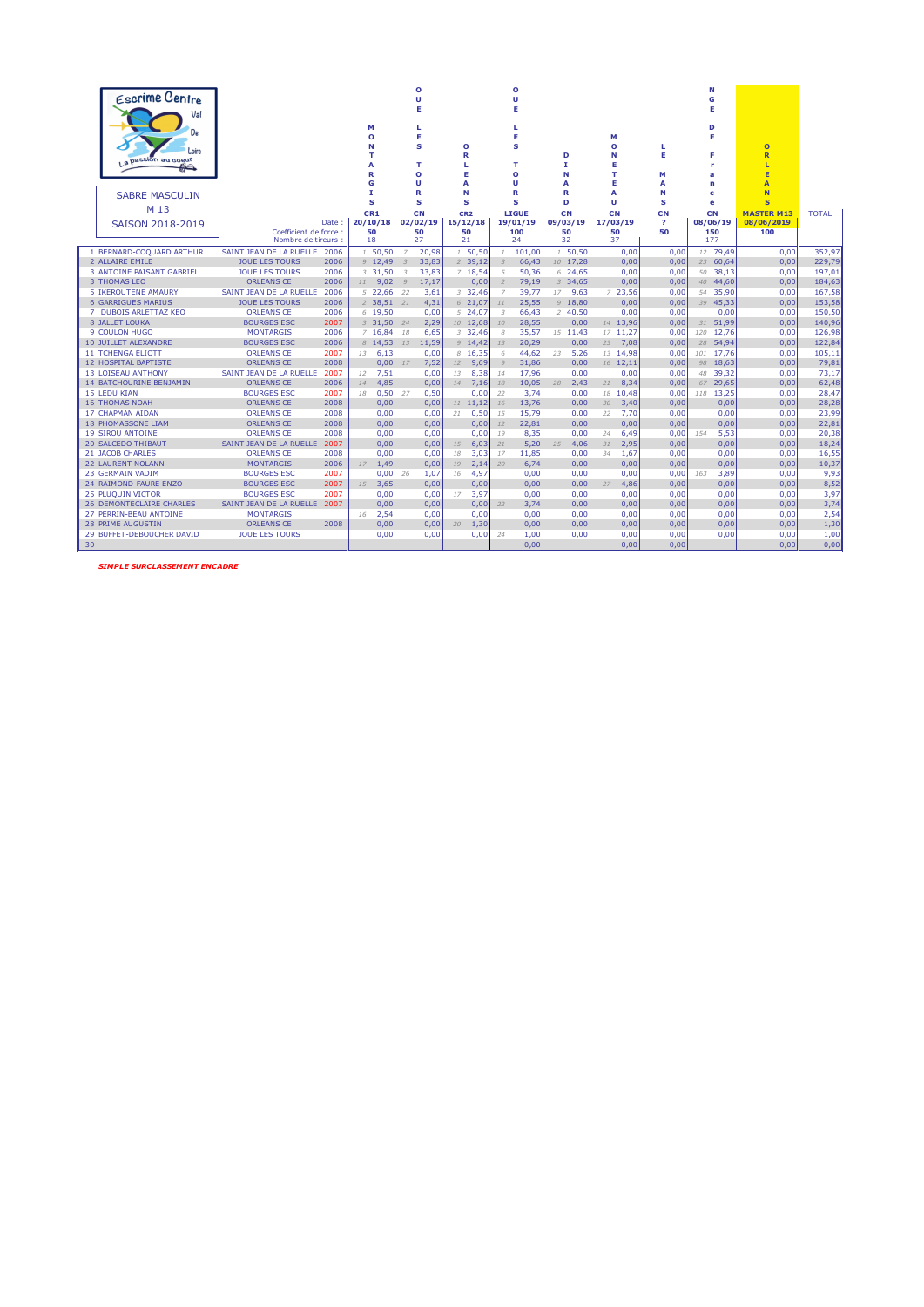| <b>Escrime Centre</b><br>Val<br>De<br>Loire<br>La passion au cogur<br>≝<br><b>SABRE MASCULIN</b><br>M 13<br><b>SAISON 2018-2019</b> | Date:                                       | М<br>O<br>R<br>G<br>т<br>s<br>CR1<br>20/10/18 |                |                | ٥<br>Ü<br>E<br>L<br>Е<br>S<br>т<br>O<br>U<br>R<br>s<br>CN<br>02/02/19 | $\circ$<br>R<br>L<br>E<br>Α<br>N<br>s<br>CR <sub>2</sub><br>15/12/18 |                | ٥<br>Ù<br>Е<br>E<br>S<br>т<br>Ō<br>U<br>R<br>s<br><b>LIGUE</b><br>19/01/19 | D<br>T.<br>N<br>А<br>R<br>D<br>CN<br>09/03/19 | М<br>$\circ$<br>N<br>Е<br>T.<br>Е<br>A<br>u<br>CN<br>17/03/19 | ш<br>Е<br>М<br>A<br>N<br>s<br>CN<br>$\overline{\mathbf{r}}$ | N<br>G<br>Е<br>D<br>Е<br>F<br>۲<br>a<br>n<br>c<br>e<br>CN<br>08/06/19 | $\overline{O}$<br>$\overline{\mathsf{R}}$<br>Е<br>E<br>A<br>N<br>S<br><b>MASTER M13</b><br>08/06/2019 | <b>TOTAL</b>  |
|-------------------------------------------------------------------------------------------------------------------------------------|---------------------------------------------|-----------------------------------------------|----------------|----------------|-----------------------------------------------------------------------|----------------------------------------------------------------------|----------------|----------------------------------------------------------------------------|-----------------------------------------------|---------------------------------------------------------------|-------------------------------------------------------------|-----------------------------------------------------------------------|-------------------------------------------------------------------------------------------------------|---------------|
|                                                                                                                                     | Coefficient de force :<br>Nombre de tireurs | 50<br>18                                      |                |                | 50<br>27                                                              | 50<br>21                                                             |                | 100<br>24                                                                  | 50<br>32                                      | 50<br>37                                                      | 50                                                          | 150<br>177                                                            | 100                                                                                                   |               |
| SAINT JEAN DE LA RUELLE<br>1 BERNARD-COQUARD ARTHUR                                                                                 | 2006                                        |                                               | 1, 50, 50      | $\overline{7}$ | 20,98                                                                 | 1, 50, 50                                                            | $\mathcal{I}$  | 101,00                                                                     | 1, 50, 50                                     | 0,00                                                          | 0,00                                                        | 12 79,49                                                              | 0,00                                                                                                  | 352,97        |
| 2 ALLAIRE EMILE<br><b>JOUE LES TOURS</b>                                                                                            | 2006                                        |                                               | 9 12,49        | $\overline{3}$ | 33,83                                                                 | 2, 39, 12                                                            | $\overline{3}$ | 66,43                                                                      | 10 17,28                                      | 0,00                                                          | 0,00                                                        | 23 60,64                                                              | 0,00                                                                                                  | 229,79        |
| <b>JOUE LES TOURS</b><br><b>3 ANTOINE PAISANT GABRIEL</b>                                                                           | 2006                                        |                                               | $3\quad 31,50$ | 3              | 33,83                                                                 | 7, 18, 54                                                            | 5              | 50,36                                                                      | 624,65                                        | 0,00                                                          | 0,00                                                        | 50 38,13                                                              | 0,00                                                                                                  | 197,01        |
| <b>ORLEANS CE</b><br>3 THOMAS LEO                                                                                                   | 2006                                        | 11                                            | 9,02           | $\overline{Q}$ | 17,17                                                                 | 0,00                                                                 | $\overline{z}$ | 79,19                                                                      | $3\quad 34,65$                                | 0,00                                                          | 0,00                                                        | 40 44,60                                                              | 0,00                                                                                                  | 184,63        |
| 5 IKEROUTENE AMAURY<br>SAINT JEAN DE LA RUELLE                                                                                      | 2006                                        |                                               | 522,66         | 22             | 3,61                                                                  | $3\quad 32,46$                                                       | 7              | 39.77                                                                      | $17$ 9.63                                     | 723,56                                                        | 0,00                                                        | 54 35,90                                                              | 0.00                                                                                                  | 167,58        |
| <b>JOUE LES TOURS</b><br><b>6 GARRIGUES MARIUS</b>                                                                                  | 2006                                        |                                               | 2, 38, 51      | 21             | 4,31                                                                  | 621,07                                                               | 11             | 25,55                                                                      | 918,80                                        | 0,00                                                          | 0,00                                                        | 39 45,33                                                              | 0,00                                                                                                  | 153,58        |
| 7 DUBOIS ARLETTAZ KEO<br><b>ORLEANS CE</b>                                                                                          | 2006                                        |                                               | $6$ 19.50      |                | 0.00                                                                  | 524.07                                                               | 3              | 66.43                                                                      | 240,50                                        | 0.00                                                          | 0,00                                                        | 0.00                                                                  | 0.00                                                                                                  | 150,50        |
| <b>BOURGES ESC</b><br>8 JALLET LOUKA                                                                                                | 2007                                        |                                               | $3\,31,50$     | 24             | 2,29                                                                  | 10 12,68                                                             | 10             | 28,55                                                                      | 0,00                                          | 14 13,96                                                      | 0,00                                                        | 31 51,99                                                              | 0,00                                                                                                  | 140,96        |
| 9 COULON HUGO<br><b>MONTARGIS</b>                                                                                                   | 2006                                        |                                               | 716,84         | 18             | 6,65                                                                  | $3\quad 32,46$                                                       | 8              | 35,57                                                                      | 15 11,43                                      | 17 11,27                                                      | 0,00                                                        | 120 12,76                                                             | 0,00                                                                                                  | 126,98        |
| <b>10 JUILLET ALEXANDRE</b><br><b>BOURGES ESC</b>                                                                                   | 2006                                        |                                               | $8$ 14,53      | 13             | 11,59                                                                 | 9, 14.42                                                             | 13             | 20,29                                                                      | 0,00                                          | 23<br>7.08                                                    | 0,00                                                        | 28 54,94                                                              | 0,00                                                                                                  | 122,84        |
| <b>ORLEANS CE</b><br><b>11 TCHENGA ELIOTT</b>                                                                                       | 2007                                        | 13                                            | 6,13           |                | 0,00                                                                  | 8, 16, 35                                                            | 6              | 44,62                                                                      | 5,26<br>23                                    | 13 14,98                                                      | 0,00                                                        | 101 17,76                                                             | 0,00                                                                                                  | 105,11        |
| <b>ORLEANS CE</b><br>12 HOSPITAL BAPTISTE                                                                                           | 2008                                        |                                               | 0,00           | 17             | 7,52                                                                  | 12<br>9,69                                                           | Q              | 31,86                                                                      | 0,00                                          | 16 12,11                                                      | 0,00                                                        | 98 18,63                                                              | 0,00                                                                                                  | 79,81         |
| <b>13 LOISEAU ANTHONY</b><br>SAINT JEAN DE LA RUELLE                                                                                | 2007                                        | 12                                            | 7,51           |                | 0,00                                                                  | 8,38<br>13                                                           | 14             | 17,96                                                                      | 0,00                                          | 0.00                                                          | 0,00                                                        | 48 39,32                                                              | 0,00                                                                                                  | 73,17         |
| <b>14 BATCHOURINE BENJAMIN</b><br><b>ORLEANS CE</b>                                                                                 | 2006                                        | 14                                            | 4,85           |                | 0,00                                                                  | 7,16<br>14                                                           | 18             | 10,05                                                                      | 2,43<br>28                                    | 8,34<br>21                                                    | 0,00                                                        | 67 29,65                                                              | 0,00                                                                                                  | 62,48         |
| 15 LEDU KIAN<br><b>BOURGES ESC</b>                                                                                                  | 2007                                        | 18                                            | 0,50           | 27             | 0,50                                                                  | 0,00                                                                 | 22             | 3,74                                                                       | 0,00                                          | 10,48<br>18                                                   | 0,00                                                        | 118 13,25                                                             | 0,00                                                                                                  | 28,47         |
| <b>ORLEANS CE</b><br><b>16 THOMAS NOAH</b>                                                                                          | 2008                                        |                                               | 0,00           |                | 0,00                                                                  | 11,12                                                                | 16             | 13,76                                                                      | 0,00                                          | 30<br>3,40                                                    | 0,00                                                        | 0,00                                                                  | 0,00                                                                                                  | 28,28         |
| 17 CHAPMAN AIDAN<br><b>ORLEANS CE</b>                                                                                               | 2008                                        |                                               | 0,00           |                | 0,00                                                                  | 0,50<br>21                                                           | 15             | 15,79                                                                      | 0,00                                          | 7,70<br>22                                                    | 0,00                                                        | 0,00                                                                  | 0,00                                                                                                  | 23,99         |
| <b>18 PHOMASSONE LIAM</b><br><b>ORLEANS CE</b>                                                                                      | 2008                                        |                                               | 0,00           |                | 0,00                                                                  | 0,00                                                                 | 12             | 22,81                                                                      | 0,00                                          | 0.00                                                          | 0,00                                                        | 0,00                                                                  | 0,00                                                                                                  | 22,81         |
| <b>19 SIROU ANTOINE</b><br><b>ORLEANS CE</b>                                                                                        | 2008                                        |                                               | 0,00           |                | 0,00                                                                  | 0,00                                                                 | 19             | 8,35                                                                       | 0,00                                          | 6,49<br>24                                                    | 0,00                                                        | 5,53<br>154                                                           | 0,00                                                                                                  | 20,38         |
| <b>20 SALCEDO THIBAUT</b><br>SAINT JEAN DE LA RUELLE<br><b>ORLEANS CE</b><br>21 JACOB CHARLES                                       | 2007<br>2008                                |                                               | 0.00<br>0,00   |                | 0,00                                                                  | 6,03<br>15<br>3,03                                                   | 21<br>17       | 5,20                                                                       | 4,06<br>25                                    | 31<br>2,95<br>34                                              | 0,00                                                        | 0,00                                                                  | 0,00                                                                                                  | 18,24         |
| <b>22 LAURENT NOLANN</b><br><b>MONTARGIS</b>                                                                                        | 2006                                        | 17                                            |                |                | 0,00                                                                  | 18<br>19                                                             | 20             | 11,85                                                                      | 0,00                                          | 1,67                                                          | 0,00                                                        | 0,00                                                                  | 0,00                                                                                                  | 16,55         |
| 23 GERMAIN VADIM<br><b>BOURGES ESC</b>                                                                                              | 2007                                        |                                               | 1,49<br>0,00   | 26             | 0,00<br>1,07                                                          | 2,14<br>4,97<br>16                                                   |                | 6,74<br>0,00                                                               | 0,00<br>0,00                                  | 0,00<br>0,00                                                  | 0,00<br>0,00                                                | 0,00<br>3,89<br>163                                                   | 0,00<br>0,00                                                                                          | 10,37<br>9,93 |
| 24 RAIMOND-FAURE ENZO<br><b>BOURGES ESC</b>                                                                                         | 2007                                        | 15                                            | 3,65           |                | 0,00                                                                  | 0,00                                                                 |                | 0,00                                                                       | 0,00                                          | 27<br>4,86                                                    | 0,00                                                        | 0,00                                                                  | 0,00                                                                                                  | 8,52          |
| <b>BOURGES ESC</b><br>25 PLUQUIN VICTOR                                                                                             | 2007                                        |                                               | 0,00           |                | 0,00                                                                  | 3,97<br>17                                                           |                | 0,00                                                                       | 0,00                                          | 0.00                                                          | 0,00                                                        | 0,00                                                                  | 0,00                                                                                                  | 3,97          |
| 26 DEMONTECLAIRE CHARLES<br>SAINT JEAN DE LA RUELLE                                                                                 | 2007                                        |                                               | 0,00           |                | 0,00                                                                  | 0,00                                                                 | 22             | 3,74                                                                       | 0,00                                          | 0,00                                                          | 0,00                                                        | 0,00                                                                  | 0,00                                                                                                  | 3,74          |
| 27 PERRIN-BEAU ANTOINE<br><b>MONTARGIS</b>                                                                                          |                                             | 16                                            | 2,54           |                | 0,00                                                                  | 0,00                                                                 |                | 0,00                                                                       | 0,00                                          | 0,00                                                          | 0,00                                                        | 0,00                                                                  | 0,00                                                                                                  | 2,54          |
| <b>28 PRIME AUGUSTIN</b><br><b>ORLEANS CE</b>                                                                                       | 2008                                        |                                               | 0,00           |                | 0,00                                                                  | 1,30<br>20                                                           |                | 0,00                                                                       | 0,00                                          | 0,00                                                          | 0,00                                                        | 0,00                                                                  | 0,00                                                                                                  | 1,30          |
| 29 BUFFET-DEBOUCHER DAVID<br><b>JOUE LES TOURS</b>                                                                                  |                                             |                                               | 0,00           |                | 0,00                                                                  | 0,00                                                                 | 24             | 1,00                                                                       | 0,00                                          | 0,00                                                          | 0,00                                                        | 0,00                                                                  | 0,00                                                                                                  | 1,00          |
| 30                                                                                                                                  |                                             |                                               |                |                |                                                                       |                                                                      |                | 0.00                                                                       |                                               | 0.00                                                          | 0,00                                                        |                                                                       | 0.00                                                                                                  | 0,00          |

*SIMPLE SURCLASSEMENT ENCADRE*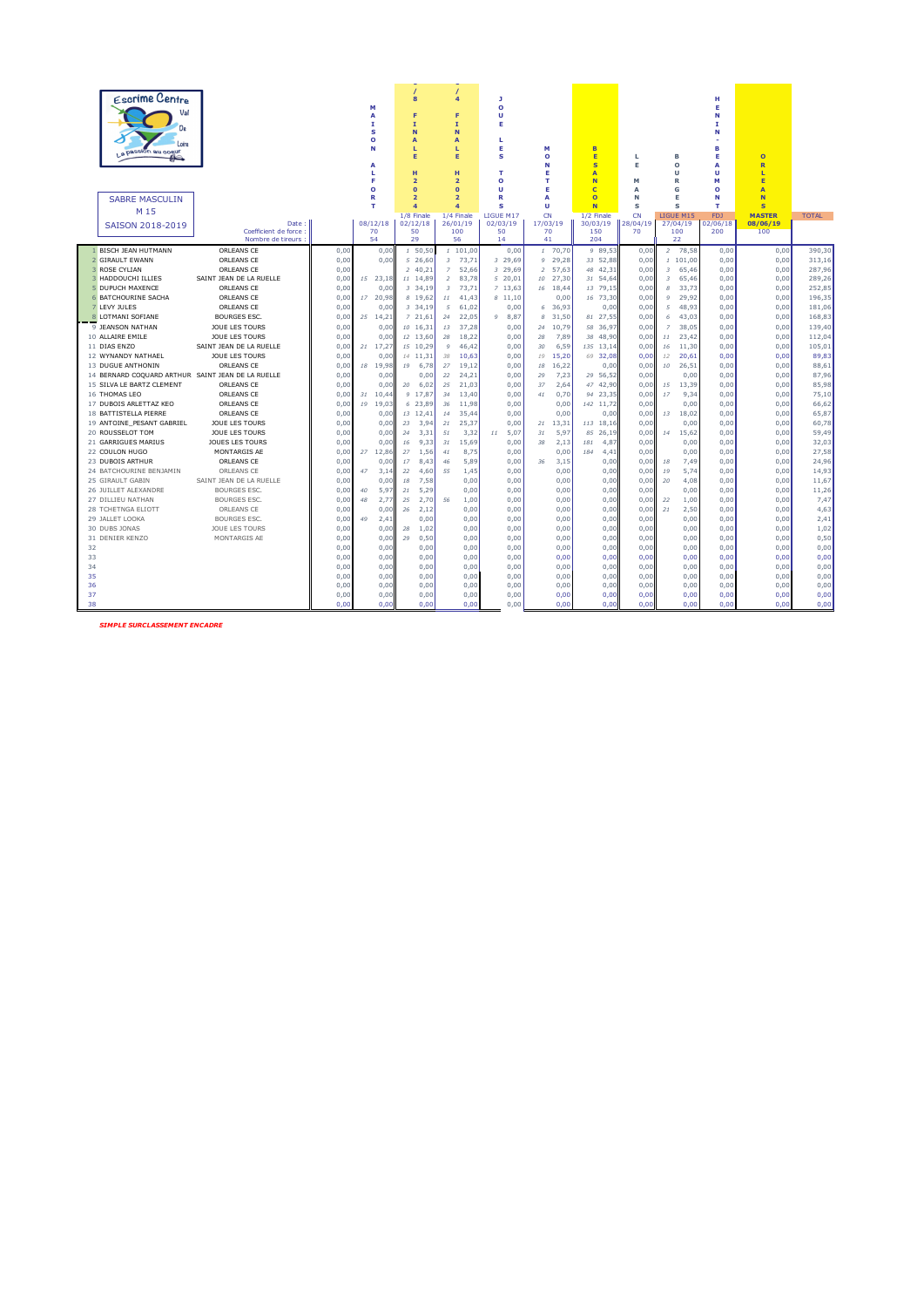| Escrime Centre<br>Val<br>De<br>Loire<br>a passion au coeur<br>♨ |                                           | м<br>A<br>I<br>s<br>$\circ$<br>N<br>A<br>L<br>Е | 8<br>F<br>I<br>N<br>A<br>L<br>E<br>н<br>$\overline{2}$ | 4<br>Е<br>$\mathbf{I}$<br>N<br>A<br>п<br>E<br>H<br>$\overline{2}$ | л<br>$\bullet$<br>U<br>E<br>L.<br>Е<br>s<br>т<br>o | м<br>$\circ$<br>N<br>Е<br>т | B<br>E<br>$\overline{\mathbf{s}}$<br>A<br>N | ٠<br>Е<br>м  | B<br>$\Omega$<br>u<br>R   | н<br>Е<br>N<br>T<br>N<br>в<br>Е<br>A<br>п<br>М | $\circ$<br>$\overline{\mathbf{R}}$<br>ı<br>E |                |
|-----------------------------------------------------------------|-------------------------------------------|-------------------------------------------------|--------------------------------------------------------|-------------------------------------------------------------------|----------------------------------------------------|-----------------------------|---------------------------------------------|--------------|---------------------------|------------------------------------------------|----------------------------------------------|----------------|
| <b>SABRE MASCULIN</b>                                           |                                           | $\circ$<br>R                                    | $\Omega$<br>$\overline{2}$                             | $\Omega$<br>$\overline{2}$                                        | U<br>R                                             | Е<br>A                      | $\epsilon$<br>$\Omega$                      | A<br>N       | G<br>E                    | ο<br>N                                         | A<br>N                                       |                |
| M 15                                                            |                                           | т                                               | $\overline{\mathbf{4}}$<br>1/8 Finale                  | 4<br>1/4 Finale                                                   | s<br><b>ITGUE M17</b>                              | u<br>CN                     | N<br>1/2 Finale                             | s<br>CN      | s<br><b>LIGUE M15</b>     | т<br><b>FD1</b>                                | s<br><b>MASTER</b>                           | <b>TOTAL</b>   |
| SAISON 2018-2019                                                | Date                                      | 08/12/18                                        | 02/12/18                                               | 26/01/19                                                          | 02/03/19                                           | 17/03/19                    | 30/03/19                                    | 28/04/19     | 27/04/19                  | 02/06/18                                       | 08/06/19                                     |                |
|                                                                 | Coefficient de force<br>Nombre de tireurs | 70<br>54                                        | 50<br>29                                               | 100<br>56                                                         | 50<br>14                                           | 70<br>41                    | 150<br>204                                  | 70           | 100<br>22                 | 200                                            | 100                                          |                |
| 1 BISCH JEAN HUTMANN                                            | ORLEANS CE<br>0,00                        | 0,00                                            | 1, 50, 50                                              | 1101,00                                                           | 0,00                                               | 1 70,70                     | 9 89.53                                     | 0,00         | 2 78.58                   | 0.00                                           | 0,00                                         | 390,30         |
| 2 GIRAULT EWANN                                                 | 0,00<br>ORLEANS CE                        | 0.00                                            | 526,60                                                 | 3 73,71                                                           | 3 29,69                                            | 9 29,28                     | 33 52,88                                    | 0,00         | 1101,00                   | 0,00                                           | 0,00                                         | 313,16         |
| 3 ROSE CYLIAN                                                   | ORLEANS CE<br>0,00                        |                                                 | 240,21                                                 | 52,66<br>$\overline{z}$                                           | 3 29,69                                            | 57,63<br>$\overline{z}$     | 48 42,31                                    | 0,00         | 65,46<br>3                | 0,00                                           | 0,00                                         | 287,96         |
| 3 HADDOUCHI ILLIES                                              | SAINT JEAN DE LA RUELLE<br>0.00           | 15 23.18                                        | 11 14.89                                               | $\overline{z}$<br>83.78                                           | 520.01                                             | 27.30<br>10                 | 31 54.64                                    | 0,00         | 65.46<br>$\overline{3}$   | 0.00                                           | 0,00                                         | 289.26         |
| 5 DUPUCH MAXENCE                                                | ORLEANS CE<br>0.00                        | 0.00                                            | 3 34,19                                                | 73.71<br>3                                                        | 7 13.63                                            | 16<br>18.44                 | 13 79.15                                    | 0.00         | 33.73<br>$\boldsymbol{s}$ | 0.00                                           | 0.00                                         | 252,85         |
| <b>6 BATCHOURINE SACHA</b>                                      | ORLEANS CE<br>0.00                        | 20.98<br>17                                     | 8 19.62                                                | 11<br>41.43                                                       | 8,11.10                                            | 0.00                        | 16 73.30                                    | 0.00         | $\mathsf{Q}$<br>29.92     | 0.00                                           | 0.00                                         | 196,35         |
| 7 LEVY JULES                                                    | ORLEANS CE<br>0,00                        | 0,00                                            | 3, 34, 19                                              | 5<br>61,02                                                        | 0,00                                               | 36,93<br>6                  | 0,00                                        | 0,00         | 48,93<br>5                | 0,00                                           | 0,00                                         | 181,06         |
| 8 LOTMANI SOFIANE                                               | <b>BOURGES ESC.</b><br>0,00               | 25 14,21                                        | 721,61                                                 | 22,05<br>24                                                       | 8,87<br>9                                          | 31,50<br>R                  | 81 27,55                                    | 0,00         | 43,03<br>6                | 0,00                                           | 0,00                                         | 168,83         |
| 9 JEANSON NATHAN                                                | JOUE LES TOURS<br>0.00                    | 0.00                                            | 10 16.31                                               | 37.28<br>13                                                       | 0,00                                               | 10.79<br>24                 | 58 36.97                                    | 0.00         | $\overline{z}$<br>38.05   | 0.00                                           | 0.00                                         | 139,40         |
| 10 ALLAIRE EMILE                                                | JOUE LES TOURS<br>0.00                    | 0.00                                            | 12 13.60                                               | 28<br>18.22                                                       | 0.00                                               | 28<br>7.89                  | 38 48.90                                    | 0.00         | 11<br>23.42               | 0.00                                           | 0.00                                         | 112,04         |
| 11 DIAS ENZO                                                    | SAINT JEAN DE LA RUELLE<br>0,00           | $21 \quad 17,27$                                | 15 10.29                                               | 46,42<br>$\mathbf{Q}$                                             | 0,00                                               | 6,59<br>30                  | 135 13,14                                   | 0,00         | 11,30<br>16               | 0.00                                           | 0,00                                         | 105,01         |
| 12 WYNANDY NATHAEL                                              | JOUE LES TOURS<br>0,00                    | 0,00                                            | 14 11,31                                               | 38<br>10,63                                                       | 0,00                                               | 19<br>15,20                 | 69 32,08                                    | 0,00         | 12<br>20,61               | 0,00                                           | 0,00                                         | 89,83          |
| 13 DUGUE ANTHONIN                                               | ORLEANS CE<br>0,00                        | 19,98<br>18                                     | 6,78<br>19                                             | 27<br>19,12                                                       | 0,00                                               | 16,22<br>18                 | 0,00                                        | 0,00         | 26,51<br>10               | 0,00                                           | 0,00                                         | 88,61          |
| 14 BERNARD COQUARD ARTHUR SAINT JEAN DE LA RUELLE               | 0,00                                      | 0,00                                            | 0,00                                                   | 24,21<br>22                                                       | 0,00                                               | 7,23<br>29                  | 29 56,52                                    | 0,00         | 0,00                      | 0,00                                           | 0,00                                         | 87,96          |
| 15 SILVA LE BARTZ CLEMENT                                       | ORLEANS CE<br>0.00<br>ORLEANS CE          | 0.00                                            | 20<br>6.02                                             | 25<br>21.03                                                       | 0,00                                               | 37<br>2.64                  | 47 42.90                                    | 0,00         | 13.39<br>15               | 0,00                                           | 0.00                                         | 85,98          |
| 16 THOMAS LEO<br>17 DUBOIS ARLETTAZ KEO                         | 0,0(<br>ORLEANS CE                        | 10,44<br>31<br>19.03                            | 9 17,87<br>6 23.89                                     | 13,40<br>34                                                       | 0,00<br>0,00                                       | 0,70<br>41<br>0.00          | 94 23,35                                    | 0,00         | 9,34<br>17                | 0,00<br>0,00                                   | 0,00                                         | 75,10          |
| 18 BATTISTELLA PIERRE                                           | 0,0(<br>ORLEANS CE                        | 19                                              |                                                        | 11,98<br>36                                                       |                                                    |                             | 142 11,72                                   | 0,00         | 0,00                      |                                                | 0,00                                         | 66,62          |
| 19 ANTOINE PESANT GABRIEL                                       | 0,00<br>JOUE LES TOURS<br>0,0(            | 0,00<br>0,00                                    | 13 12,41<br>23<br>3,94                                 | 14<br>35,44<br>25,37<br>21                                        | 0,00<br>0,00                                       | 0,00<br>13,31<br>21         | 0,00<br>113 18,16                           | 0,00<br>0,00 | 18,02<br>13<br>0,00       | 0,00<br>0,00                                   | 0,00<br>0,00                                 | 65,87<br>60,78 |
| 20 ROUSSELOT TOM                                                | JOUE LES TOURS<br>0.00                    | 0.00                                            | 24<br>3,31                                             | 51<br>3,32                                                        | 5.07<br>11                                         | 5,97<br>31                  | 85 26.19                                    | 0.00         | 15.62<br>14               | 0.00                                           | 0.00                                         | 59.49          |
| 21 GARRIGUES MARIUS                                             | JOUES LES TOURS<br>0,00                   | 0.00                                            | 9.33<br>16                                             | 31<br>15,69                                                       | 0,00                                               | 38<br>2,13                  | 181<br>4,87                                 | 0,00         | 0,00                      | 0.00                                           | 0,00                                         | 32,03          |
| 22 COULON HUGO                                                  | MONTARGIS AE<br>0.00                      | 12.86<br>27                                     | 27<br>1.56                                             | 8,75<br>41                                                        | 0.00                                               | 0.00                        | 184<br>4.41                                 | 0.00         | 0.00                      | 0.00                                           | 0.00                                         | 27,58          |
| 23 DUBOIS ARTHUR                                                | ORLEANS CE<br>0,0(                        | 0,00                                            | 17<br>8,43                                             | 5,89<br>46                                                        | 0,00                                               | 3,15<br>36                  | 0,00                                        | 0,00         | 7,49<br>18                | 0,00                                           | 0,00                                         | 24,96          |
| 24 BATCHOURINE BENJAMIN                                         | ORLEANS CE<br>0,00                        | 3,14<br>47                                      | 22<br>4,60                                             | 55<br>1,45                                                        | 0,00                                               | 0,00                        | 0,00                                        | 0,00         | 5,74<br>19                | 0,00                                           | 0,00                                         | 14,93          |
| 25 GIRAULT GABIN                                                | SAINT JEAN DE LA RUELLE<br>0,00           | 0.00                                            | 18<br>7.58                                             | 0.00                                                              | 0.00                                               | 0.00                        | 0.00                                        | 0,00         | 4,08<br>20                | 0.00                                           | 0,00                                         | 11,67          |
| 26 JUILLET ALEXANDRE                                            | <b>BOURGES ESC.</b><br>0,0(               | 5,97<br>40                                      | 21<br>5,29                                             | 0,00                                                              | 0,00                                               | 0,00                        | 0,00                                        | 0,00         | 0,00                      | 0,00                                           | 0,00                                         | 11,26          |
| 27 DILLIEU NATHAN                                               | <b>BOURGES ESC.</b><br>0.00               | 48<br>2,77                                      | 25<br>2.70                                             | 56<br>1,00                                                        | 0.00                                               | 0.00                        | 0,00                                        | 0.00         | 22<br>1,00                | 0.00                                           | 0.00                                         | 7,47           |
| 28 TCHETNGA ELIOTT                                              | ORLEANS CE<br>0,00                        | 0,00                                            | 26<br>2,12                                             | 0,00                                                              | 0.00                                               | 0.00                        | 0.00                                        | 0,00         | 2,50<br>21                | 0.00                                           | 0.00                                         | 4,63           |
| 29 JALLET LOOKA                                                 | <b>BOURGES ESC.</b><br>0,01               | 49<br>2,41                                      | 0,00                                                   | 0,00                                                              | 0,00                                               | 0.00                        | 0,00                                        | 0,00         | 0,00                      | 0,00                                           | 0,00                                         | 2,41           |
| 30 DUBS JONAS                                                   | JOUE LES TOURS<br>0.00                    | 0,00                                            | 1.02<br>28                                             | 0,00                                                              | 0.00                                               | 0.00                        | 0,00                                        | 0,00         | 0,00                      | 0.00                                           | 0,00                                         | 1,02           |
| 31 DENIER KENZO                                                 | MONTARGIS AE<br>0,00                      | 0,00                                            | 0,50<br>29                                             | 0,00                                                              | 0,00                                               | 0,00                        | 0,00                                        | 0,00         | 0,00                      | 0,00                                           | 0,00                                         | 0,50           |
| 32                                                              | 0,0(                                      | 0,00                                            | 0,00                                                   | 0,00                                                              | 0,00                                               | 0,00                        | 0,00                                        | 0,00         | 0,00                      | 0,00                                           | 0,00                                         | 0,00           |
| 33                                                              | 0.00                                      | 0.00                                            | 0.00                                                   | 0,00                                                              | 0.00                                               | 0.00                        | 0.00                                        | 0.00         | 0,00                      | 0.00                                           | 0.00                                         | 0,00           |
| 34                                                              | 0,00                                      | 0.00                                            | 0.00                                                   | 0,00                                                              | 0.00                                               | 0.00                        | 0,00                                        | 0.00         | 0,00                      | 0.00                                           | 0.00                                         | 0,00           |
| 35                                                              | 0,00                                      | 0,00                                            | 0.00                                                   | 0.00                                                              | 0.00                                               | 0.00                        | 0,00                                        | 0.00         | 0.00                      | 0.00                                           | 0.00                                         | 0,00           |
| 36                                                              | 0,00                                      | 0,00                                            | 0,00                                                   | 0,00                                                              | 0,00                                               | 0,00                        | 0,00                                        | 0,00         | 0,00                      | 0,00                                           | 0,00                                         | 0,00           |
| 37                                                              | 0,00                                      | 0,00                                            | 0,00                                                   | 0,00                                                              | 0,00                                               | 0,00                        | 0,00                                        | 0,00         | 0,00                      | 0,00                                           | 0,00                                         | 0,00           |
| 38                                                              | 0.00                                      | 0.00                                            | 0.00                                                   | 0.00                                                              | 0.00                                               | 0.00                        | 0.00                                        | 0.00         | 0.00                      | 0.00                                           | 0.00                                         | 0.00           |

*SIMPLE SURCLASSEMENT ENCADRE*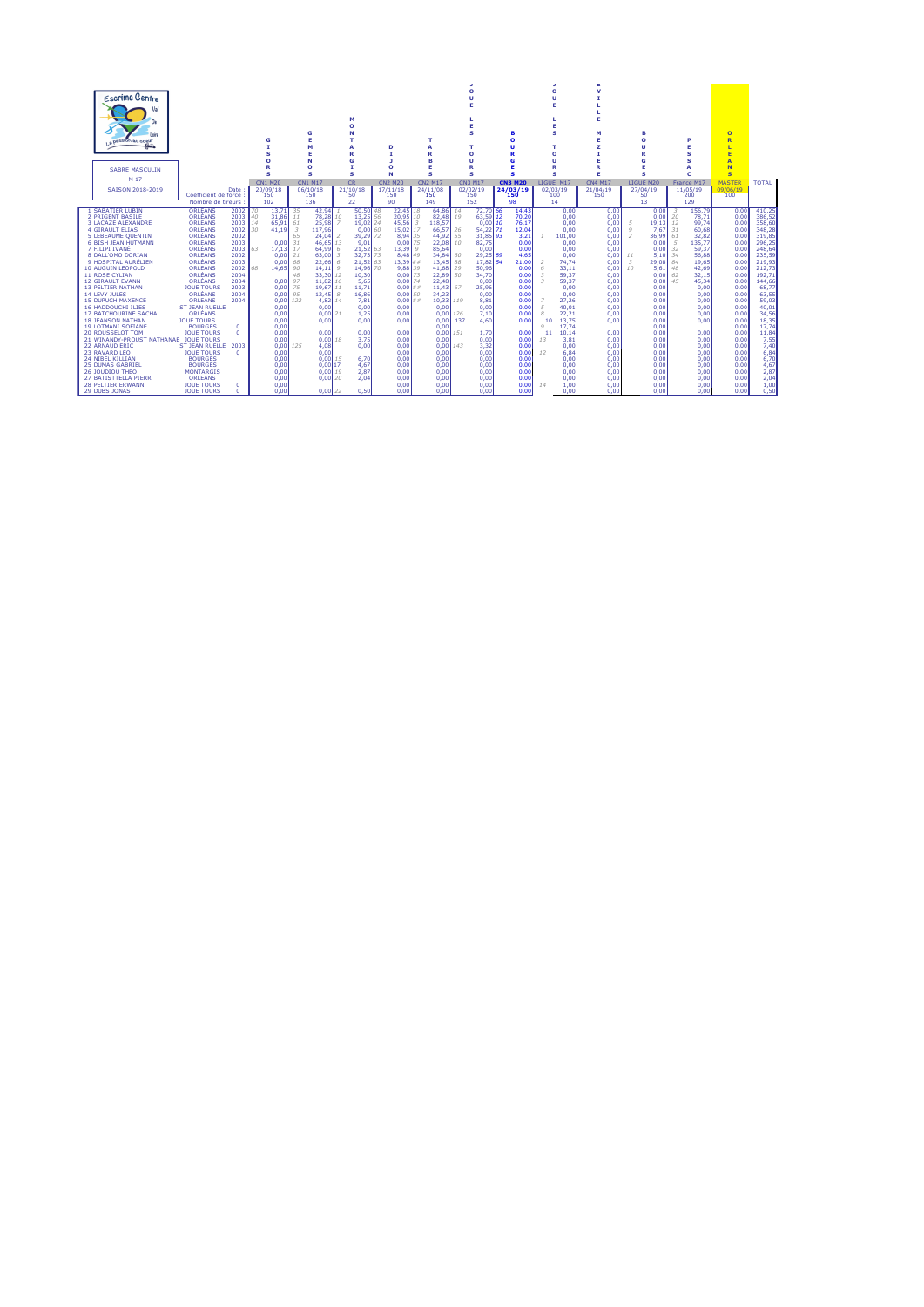|                           | <b>Escrime Centre</b><br>Val<br>D»<br>Loire<br>La passion au cogur<br>≞≏<br><b>SABRE MASCULIN</b> |                             |              |                       | G                          |                      | G<br>E<br>м<br>E<br>N<br>O |     | м<br>o<br>G    |          | D                 |                               | т<br>R<br>R        |    | $\Omega$<br>u<br>s<br>$\Omega$<br>u<br>R | в<br>Ω          |                | $\Omega$<br>u<br>E<br>E<br>s<br>$\Omega$ |               | ×<br>v<br>E<br>м<br>Е      |                          | в<br>Ō<br>R<br>G |          |                 | $\overline{O}$<br>R<br>т<br>E<br>$\overline{\mathbf{A}}$<br>N |                  |
|---------------------------|---------------------------------------------------------------------------------------------------|-----------------------------|--------------|-----------------------|----------------------------|----------------------|----------------------------|-----|----------------|----------|-------------------|-------------------------------|--------------------|----|------------------------------------------|-----------------|----------------|------------------------------------------|---------------|----------------------------|--------------------------|------------------|----------|-----------------|---------------------------------------------------------------|------------------|
|                           | M 17                                                                                              |                             |              |                       | s                          |                      | s                          |     | s              |          | N                 |                               | s                  |    | s                                        |                 | s              | s                                        |               | Е                          |                          | s                |          |                 | $\mathbf{s}$                                                  |                  |
|                           |                                                                                                   |                             |              |                       | <b>CN1 M20</b><br>20/09/18 |                      | <b>CN1 M17</b>             |     | <b>CR</b>      |          | <b>CN2 M20</b>    |                               | <b>CN2 M17</b>     |    | <b>CN3 M17</b><br>02/02/19               | <b>CN3 M20</b>  |                | LIGUE M17<br>02/03/19                    |               | <b>CN4 M17</b><br>21/04/19 |                          | LIGUE M20        |          | France M17      | <b>MASTER</b><br>09/06/19                                     | <b>TOTAL</b>     |
|                           | SAISON 2018-2019                                                                                  | Coefficient de force        | Date:        |                       | 150                        |                      | 06/10/18<br>150            |     | 21/10/18<br>50 |          | 17/11/18<br>150   |                               | 24/11/08<br>150    |    | 150                                      | 24/03/19<br>150 |                | 100                                      |               | 150                        |                          | 27/04/19<br>50   |          | 11/05/19<br>200 | 100                                                           |                  |
|                           |                                                                                                   | Nombre de tireurs           |              |                       | 102                        |                      | 136                        |     | 22             |          | 90                |                               | 149                |    | 152                                      | 98              |                | 14                                       |               |                            |                          | 13               |          | 129             |                                                               |                  |
| <b>1 SABATIER LUBIN</b>   |                                                                                                   | ORLEANS                     | 2002         | 70                    | 13.71                      | 35                   | 42.94                      |     | 50.50          | 48       | 22.45             | 18                            | 64.86 14           |    | 72.70 66                                 |                 | 14.43          |                                          | 0.00          | 0.00                       |                          | 0.00             |          | 156.79          | 0.00                                                          | 410.25           |
| 2 PRIGENT BASILE          |                                                                                                   | ORLÉANS<br>ORLÉANS          | 2003<br>2003 | 40                    | 31,86<br>65.91             | 11                   | 78.28                      | 10  | 13,25          | 56       | 20.95<br>45.56    | 10                            | 82.48              | 19 | 63,59 12                                 |                 | 70.20          |                                          | 0.00          | 0.00<br>0.00               |                          | 0.00             | 20       | 78.71           | 0.00<br>0.00                                                  | 386.52<br>358.60 |
| <b>4 GIRAULT FLIAS</b>    | <b>3 LACAZE ALEXANDRE</b>                                                                         | ORLÉANS                     | 2002         | 14<br>30 <sup>°</sup> | 41.19                      | 61<br>$\overline{3}$ | 25,98<br>117.96            |     | 19,02<br>0.00  | 24<br>60 | 15.02             | $\overline{\mathbf{3}}$<br>17 | 118,57<br>66.57 26 |    | $0.00$ 10<br>54.22 71                    |                 | 76,17<br>12.04 |                                          | 0.00<br>0.00  | 0.00                       | 5<br>Q                   | 19.13<br>7.67    | 12<br>31 | 99.74<br>60.68  | 0.00                                                          | 348.28           |
|                           | 5 LEBEAUME OUENTIN                                                                                | ORLÉANS                     | 2002         |                       |                            | 65                   | 24.04                      |     | 39,29          | 72       | 8.94 35           |                               | 44.92 55           |    | 31.85 93                                 |                 | 3.21           |                                          | 101,00        | 0.00                       | $\overline{\phantom{1}}$ | 36.99            | 61       | 32.82           | 0.00                                                          | 319.85           |
|                           | <b>6 BISH JEAN HUTMANN</b>                                                                        | ORLÉANS                     | 2003         |                       | 0.00                       | 31                   | 46.65 13                   |     | 9,01           |          | 0.00              | 75                            | 22.08 10           |    | 82,75                                    |                 | 0.00           |                                          | 0.00          | 0.00                       |                          | 0.00             | -5       | 135.77          | 0,00                                                          | 296.25           |
| 7 FILIPI IVANE            |                                                                                                   | ORLÉANS                     | 2003         | 63.                   | 17.13                      | 17                   | 64.99                      | -6  | $21.52$ 63     |          | 13.39             | Q                             | 85.64              |    | 0.00                                     |                 | 0.00           |                                          | 0.00          | 0.00                       |                          | 0.00             | 32       | 59.37           | 0.00                                                          | 248.64           |
|                           | 8 DALL'OMO DORIAN                                                                                 | ORLÉANS                     | 2002         |                       | 0.00                       | 21                   | 63,00                      | - 3 | 32,73          | 73       | 8.48 49           |                               | 34.84 60           |    | 29,25 89                                 |                 | 4,65           |                                          | 0.00          | 0.00                       | 11                       | 5.10             | 34       | 56.88           | 0,00                                                          | 235.59           |
|                           | 9 HOSPITAL AURÉLIEN                                                                               | ORLÉANS                     | 2003         |                       | 0.00                       | 68                   | 22.66                      | 6   | 21.52 63       |          | 13.39##           |                               | 13.45 88           |    | 17.82 54                                 |                 | 21.00          | 2                                        | 74.74         | 0.00                       | $\overline{\mathbf{3}}$  | 29.08            | 84       | 19.65           | 0.00                                                          | 219.93           |
| 10 AUGUIN LÉOPOLD         |                                                                                                   | ORLÉANS                     | 2002         | 68.                   | 14,65                      | 90                   | 14.11                      | Q   | 14.96          | 70       | 9.88              | 39                            | 41.68 29           |    | 50,96                                    |                 | 0,00           | 6                                        | 33,11         | 0.00                       | 10                       | 5.61             | 48       | 42,69           | 0,00                                                          | 212.73           |
| <b>11 ROSE CYLIAN</b>     |                                                                                                   | ORLÉANS                     | 2004         |                       |                            | 48                   | 33,30 12                   |     | 10,30          |          | 0.00              | 73                            | 22,89 50           |    | 34,70                                    |                 | 0,00           | 3                                        | 59,37         | 0.00                       |                          | 0.00             | 62       | 32,15           | 0,00                                                          | 192,71           |
| <b>12 GIRAULT EVANN</b>   |                                                                                                   | ORLÉANS                     | 2004         |                       | 0,00                       | 97                   | 11.82 16                   |     | 5.65           |          | $0.00$ 74         |                               | 22.48              |    | 0.00                                     |                 | 0.00           | 3                                        | 59,37         | 0.00                       |                          | 0.00             | 45       | 45,34           | 0,00                                                          | 144.66           |
| <b>13 PELTIER NATHAN</b>  |                                                                                                   | <b>JOUE TOURS</b>           | 2003         |                       | 0.00                       | 75                   | 19.67 11                   |     | 11.71          |          | 0.001             | ##                            | 11.43 67           |    | 25,96                                    |                 | 0,00           |                                          | 0.00          | 0.00                       |                          | 0.00             |          | 0.00            | 0,00                                                          | 68.77            |
| 14 LEVY JULES             | <b>15 DUPUCH MAXENCE</b>                                                                          | ORLÉANS<br><b>ORLEANS</b>   | 2004<br>2004 |                       | 0.00                       | 95<br>122            | $12.45$ 8<br>4.82 14       |     | 16,86          |          | $0.00$ 50<br>0.00 | ##                            | 34.23<br>10.33 119 |    | 0.00                                     |                 | 0.00           |                                          | 0.00<br>27.26 | 0.00<br>0.00               |                          | 0.00             |          | 0.00<br>0.00    | 0.00<br>0.00                                                  | 63.55            |
| <b>16 HADDOUCHI ILIES</b> |                                                                                                   | <b>ST JEAN RUELLE</b>       |              |                       | 0.00<br>0,00               |                      | 0,00                       |     | 7.81<br>0,00   |          | 0.00              |                               | 0,00               |    | 8,81<br>0,00                             |                 | 0,00<br>0,00   |                                          | 40,01         | 0.00                       |                          | 0.00<br>0,00     |          | 0.00            | 0,00                                                          | 59,03<br>40,01   |
|                           | <b>17 BATCHOURINE SACHA</b>                                                                       | ORLÉANS                     |              |                       | 0.00                       |                      | $0.00$ <sub>21</sub>       |     | 1.25           |          | 0.00              |                               | 0.001126           |    | 7,10                                     |                 | 0.00           | 8                                        | 22.21         | 0.00                       |                          | 0.00             |          | 0.00            | 0.00                                                          | 34.56            |
| <b>18 JEANSON NATHAN</b>  |                                                                                                   | <b>JOUE TOURS</b>           |              |                       | 0.00                       |                      | 0.00                       |     | 0.00           |          | 0.00              |                               | $0.00$ 137         |    | 4.60                                     |                 | 0.00           | 10                                       | 13,75         | 0.00                       |                          | 0.00             |          | 0.00            | 0.00                                                          | 18,35            |
|                           | <b>19 LOTMANI SOFIANE</b>                                                                         | <b>BOURGES</b>              | n            |                       | 0.00                       |                      |                            |     |                |          |                   |                               | 0.00               |    |                                          |                 |                | $\circ$                                  | 17.74         |                            |                          | 0.00             |          |                 | 0,00                                                          | 17,74            |
| <b>20 ROUSSELOT TOM</b>   |                                                                                                   | <b>JOUE TOURS</b>           | 0.           |                       | 0.00                       |                      | 0.00                       |     | 0.00           |          | 0.00              |                               | $0.00$ 151         |    | 1.70                                     |                 | 0.00           | 11                                       | 10.14         | 0.00                       |                          | 0.00             |          | 0.00            | 0.00                                                          | 11.84            |
|                           | 21 WINANDY-PROUST NATHANAE                                                                        | <b>JOUE TOURS</b>           |              |                       | 0.00                       |                      | 0.00118                    |     | 3.75           |          | 0.00              |                               | 0.00               |    | 0.00                                     |                 | 0.00           | 13                                       | 3.81          | 0.00                       |                          | 0.00             |          | 0.00            | 0.00                                                          | 7,55             |
| <b>22 ARNAUD ERIC</b>     |                                                                                                   | ST JEAN RUELLE 2003         |              |                       | 0.00                       | 125                  | 4,08                       |     | 0.00           |          | 0.00              |                               | 0.001143           |    | 3,32                                     |                 | 0.00           |                                          | 0.00          | 0.00                       |                          | 0.00             |          | 0.00            | 0,00                                                          | 7.40             |
| 23 RAVARD LEO             |                                                                                                   | <b>JOUE TOURS</b>           | 0.           |                       | 0,00                       |                      | 0.00                       |     |                |          | 0.00              |                               | 0.00               |    | 0.00                                     |                 | 0.00           | 12                                       | 6.84          | 0.00                       |                          | 0.00             |          | 0,00            | 0,00                                                          | 6.84             |
| 24 NIBEL KILLIAN          |                                                                                                   | <b>BOURGES</b>              |              |                       | 0.00                       |                      | 0.00115                    |     | 6,70           |          | 0.00              |                               | 0.00               |    | 0.00                                     |                 | 0,00           |                                          | 0.00          | 0.00                       |                          | 0.00             |          | 0.00            | 0.00                                                          | 6.70             |
| 25 DUMAS GABRIEL          |                                                                                                   | <b>BOURGES</b>              |              |                       | 0.00                       |                      | 0.00117                    |     | 4.67           |          | 0.00              |                               | 0.00               |    | 0.00                                     |                 | 0.00           |                                          | 0.00          | 0.00                       |                          | 0.00             |          | 0.00            | 0.00                                                          | 4.67             |
| 26 JOUDIOU THÉO           | 27 BATISTTELLA PIERR                                                                              | <b>MONTARGIS</b><br>ORLÉANS |              |                       | 0.00                       |                      | 0.00119<br>$0,00$ 20       |     | 2.87           |          | 0.00<br>0.00      |                               | 0.00<br>0.00       |    | 0.00                                     |                 | 0.00<br>0.00   |                                          | 0.00          | 0.00<br>0.00               |                          | 0.00<br>0.00     |          | 0.00            | 0.00<br>0,00                                                  | 2,87             |
| <b>28 PELTIER FRWANN</b>  |                                                                                                   | <b>JOUE TOURS</b>           | n            |                       | 0,00<br>0.00               |                      |                            |     | 2,04           |          | 0.00              |                               | 0.00               |    | 0.00<br>0.00                             |                 | 0.00           | 14                                       | 0,00<br>1.00  | 0.00                       |                          | 0.00             |          | 0,00<br>0.00    | 0.00                                                          | 2,04<br>1,00     |
| 29 DUBS JONAS             |                                                                                                   | <b>JOUE TOURS</b>           | n            |                       | 0.00                       |                      | $0.00$ 22                  |     | 0.50           |          | 0.00              |                               | 0.00               |    | 0.00                                     |                 | 0.00           |                                          | 0.00          | 0.00                       |                          | 0.00             |          | 0.00            | 0.00                                                          | 0.50             |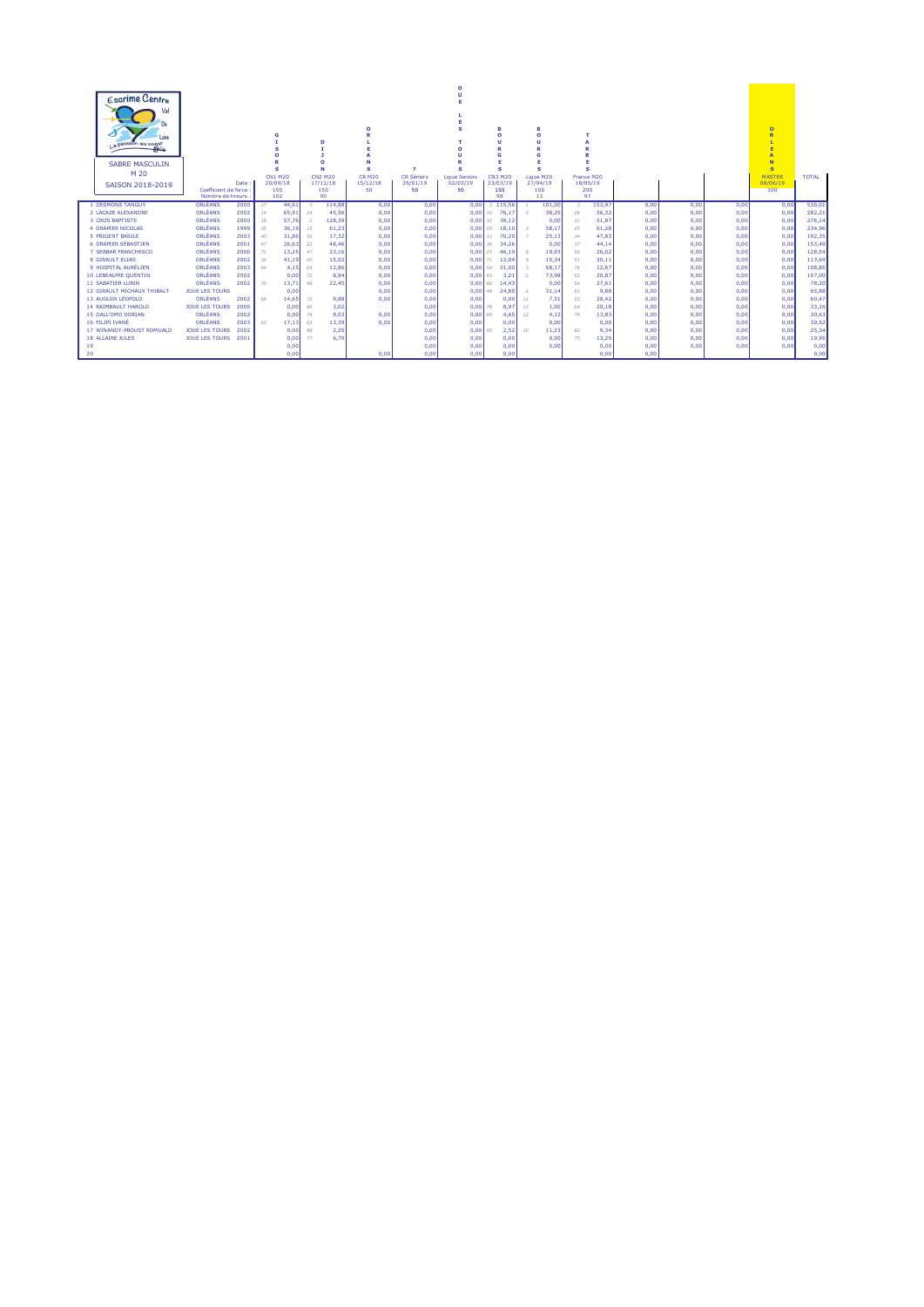| Escrime Centre<br>Val<br>De<br>Loire<br>I a passion au cosur |                                |              | G            |                | D                        | $\Omega$           |                             |                      | n                       | R<br>$\Omega$           |                                                  |              |              |              | $\Omega$<br>Þ       |              |
|--------------------------------------------------------------|--------------------------------|--------------|--------------|----------------|--------------------------|--------------------|-----------------------------|----------------------|-------------------------|-------------------------|--------------------------------------------------|--------------|--------------|--------------|---------------------|--------------|
| $\mathbb{R}$                                                 |                                |              |              |                |                          |                    |                             |                      |                         |                         |                                                  |              |              |              |                     |              |
| <b>SABRE MASCULIN</b>                                        |                                |              |              |                | n                        |                    |                             |                      |                         |                         |                                                  |              |              |              | N                   |              |
| M 20                                                         |                                |              | s<br>CN1 M20 |                | N<br><b>CN2 M20</b>      | s<br><b>CR M20</b> | $\rightarrow$<br>CR Séniors | <b>Lique Seniors</b> | s<br><b>CN3 M20</b>     | s<br>Lique M20          | $\epsilon$<br>France M20                         |              |              |              | s.<br><b>MASTER</b> | <b>TOTAL</b> |
| SAISON 2018-2019                                             |                                | Date:        | 20/09/18     |                | 17/11/18                 | 15/12/18           | 26/01/19                    | 02/03/19             | 23/03/19                | 27/04/19                | 18/05/19                                         |              |              |              | 08/06/19            |              |
|                                                              | Coefficient de force           |              | 150          |                | 150                      | 50                 | 50                          | 50                   | 150                     | 100                     | 200                                              |              |              |              | 100                 |              |
| 1 DESMONS TANGUY                                             | Nombre de tireurs :<br>ORLÉANS |              | 102          |                | 90                       |                    |                             |                      | 98                      | 13                      | 97                                               |              |              |              |                     | 530.01       |
| 2 LACAZE ALEXANDRE                                           | ORLÉANS                        | 2000<br>2002 | 27<br>14     | 44.61<br>65.91 | 114.88<br>45.56<br>24    | 0,00<br>0,00       | 0,00<br>0.00                | 0.00<br>0.00         | 3 115.56<br>76.17<br>10 | 101,00<br>38,25<br>- 5  | 153.97<br>$\overline{\mathbf{3}}$<br>28<br>56,32 | 0,00<br>0.00 | 0,00<br>0.00 | 0,00<br>0,00 | 0,00<br>0,00        | 282,21       |
| 3 CROS BAPTISTE                                              | ORLÉANS                        | 2000         | 18           | 57.76          | 128,39<br>$\overline{z}$ | 0,00               | 0.00                        | 0.00                 | 38,12<br>32             | 0,00                    | 51,87<br>31                                      | 0.00         | 0.00         | 0,00         | 0,00                | 276,14       |
| <b>4 DRAPIER NICOLAS</b>                                     | ORLÉANS                        | 1999         | 35           | 36,19          | 61,23<br>15              | 0,00               | 0.00                        | 0.00                 | 18.10<br>59             | 58,17<br>$\mathbb{R}$   | 61,28<br>25                                      | 0.00         | 0.00         | 0,00         | 0,00                | 234,96       |
| 5 PRIGENT BASILE                                             | ORLÉANS                        | 2003         | 40           | 31.86          | 17,32<br>56              | 0,00               | 0.00                        | 0.00                 | 70.20<br>12             | 25,13<br>$\overline{z}$ | 47,83<br>34                                      | 0.00         | 0.00         | 0,00         | 0,00                | 192,35       |
| 6 DRAPIER SÉBASTIEN                                          | ORLÉANS                        | 2001         | 47           | 26.63          | 48.46<br>22              | 0,00               | 0.00                        | 0.00                 | 36<br>34.26             | 0.00                    | 44,14<br>37                                      | 0.00         | 0.00         | 0,00         | 0,00                | 153,49       |
| 7 SEBBAR FRANCHESCO                                          | ORLÉANS                        | 2000         | 71           | 13,25          | 23,16<br>47              | 0,00               | 0.00                        | 0.00                 | 25<br>46.19             | 19,93                   | 26,02<br>56                                      | 0.00         | 0.00         | 0,00         | 0,00                | 128,54       |
| 8 GIRAULT ELIAS                                              | ORLÉANS                        | 2002         | 30           | 41.19          | 15,02<br>60              | 0,00               | 0.00                        | 0.00                 | 71<br>12.04             | 15.34                   | 30,11<br>51                                      | 0.00         | 0.00         | 0,00         | 0,00                | 113,69       |
| 9 HOSPITAL AURÉLIEN                                          | ORLÉANS                        | 2003         | 94           | 4.15           | 12,86<br>64              | 0,00               | 0.00                        | 0.00                 | 21.00<br>54             | 58.17<br>- 3            | 12,67<br>76                                      | 0.00         | 0.00         | 0,00         | 0.00                | 108,85       |
| 10 LEBEAUME QUENTIN                                          | ORLÉANS                        | 2002         |              | 0,00           | 72                       | 8,94<br>0,00       | 0,00                        | $0,00$ 93            | 3,21                    | 73,98<br>$\overline{2}$ | 20,87<br>63                                      | 0,00         | 0,00         | 0,00         | 0,00                | 107,00       |
| <b>11 SABATIER LUBIN</b>                                     | ORLÉANS                        | 2002         | 70           | 13,71          | 48<br>22,45              | 0,00               | 0,00                        | 0.0066               | 14.43                   | 0,00                    | 54<br>27,61                                      | 0.00         | 0,00         | 0,00         | 0,00                | 78,20        |
| 12 GIRAULT MICHAUX THIBALT                                   | <b>JOUE LES TOURS</b>          |              |              | 0.00           |                          | 0,00               | 0.00                        | $0.00$ 48            | 24.85                   | 31,14<br>- 6            | 9.88<br>81                                       | 0.00         | 0.00         | 0,00         | 0,00                | 65,88        |
| 13 AUGUIN LÉOPOLD                                            | ORLÉANS                        | 2002         | 68           | 14.65          | 70                       | 9.88<br>0.00       | 0.00                        | 0.00                 | 0.00                    | 7,51<br>11              | 28.42<br>53                                      | 0.00         | 0.00         | 0.00         | 0.00                | 60,47        |
| <b>14 RAIMBAULT HAROLD</b>                                   | <b>JOUE LES TOURS</b>          | 2000         |              | 0.00           | 86                       | 3,02               | 0.00                        | 0.00                 | 78<br>8.97              | 1,00<br>13              | 20,18<br>64                                      | 0.00         | 0.00         | 0,00         | 0,00                | 33,16        |
| 15 DALL'OMO DORIAN                                           | ORLÉANS                        | 2002         |              | 0.00           | 74                       | 8,03<br>0,00       | 0,00                        | 0.00                 | 4.65<br>89              | 4,12<br>12              | 74<br>13,83                                      | 0.00         | 0,00         | 0,00         | 0,00                | 30,63        |
| 16 FILIPI IVANÉ                                              | ORLÉANS                        | 2003         | 63           | 17.13          | 13,39<br>63              | 0.00               | 0.00                        | 0.00                 | 0.00                    | 0,00                    | 0.00                                             | 0.00         | 0.00         | 0,00         | 0.00                | 30,52        |
| 17 WINANDY-PROUST ROMUALD                                    | <b>JOUE LES TOURS</b>          | 2002         |              | 0.00           | 88                       | 2,25               | 0.00                        | 0.00                 | 2,52<br>95              | 11,23<br>10             | 9,34<br>82                                       | 0.00         | 0.00         | 0,00         | 0,00                | 25,34        |
| <b>18 ALLAIRE JULES</b>                                      | JOUE LES TOURS                 | 2001         |              | 0,00           | 77                       | 6.70               | 0.00                        | 0.00                 | 0.00                    | 0,00                    | 13,25<br>75                                      | 0.00         | 0.00         | 0,00         | 0,00                | 19,95        |
| 19                                                           |                                |              |              | 0.00           |                          |                    | 0.00                        | 0.00                 | 0.00                    | 0.00                    | 0.00                                             | 0.00         | 0.00         | 0.00         | 0.00                | 0,00         |
| 20                                                           |                                |              |              | 0.00           |                          | 0.00               | 0.00                        | 0.00                 | 0.00                    |                         | 0.00                                             | 0.00         |              |              |                     | 0,00         |